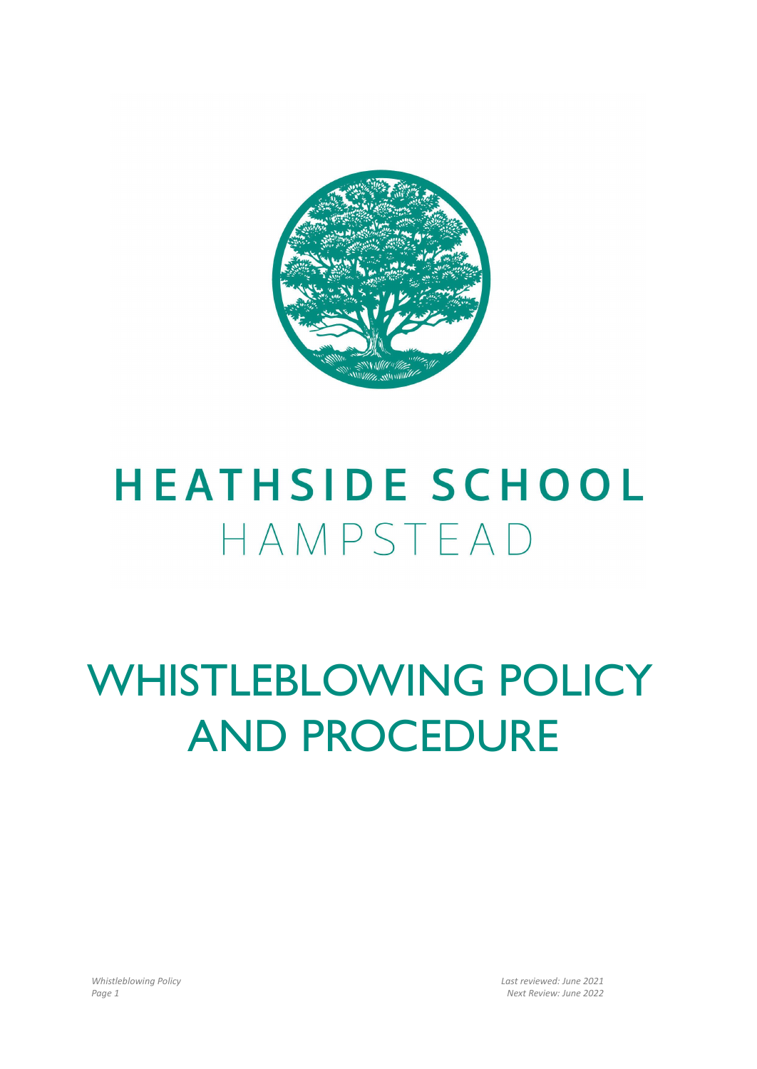

# **HEATHSIDE SCHOOL** HAMPSTEAD

# WHISTLEBLOWING POLICY AND PROCEDURE

*Whistleblowing Policy Last reviewed: June 2021 Page 1 Next Review: June 2022*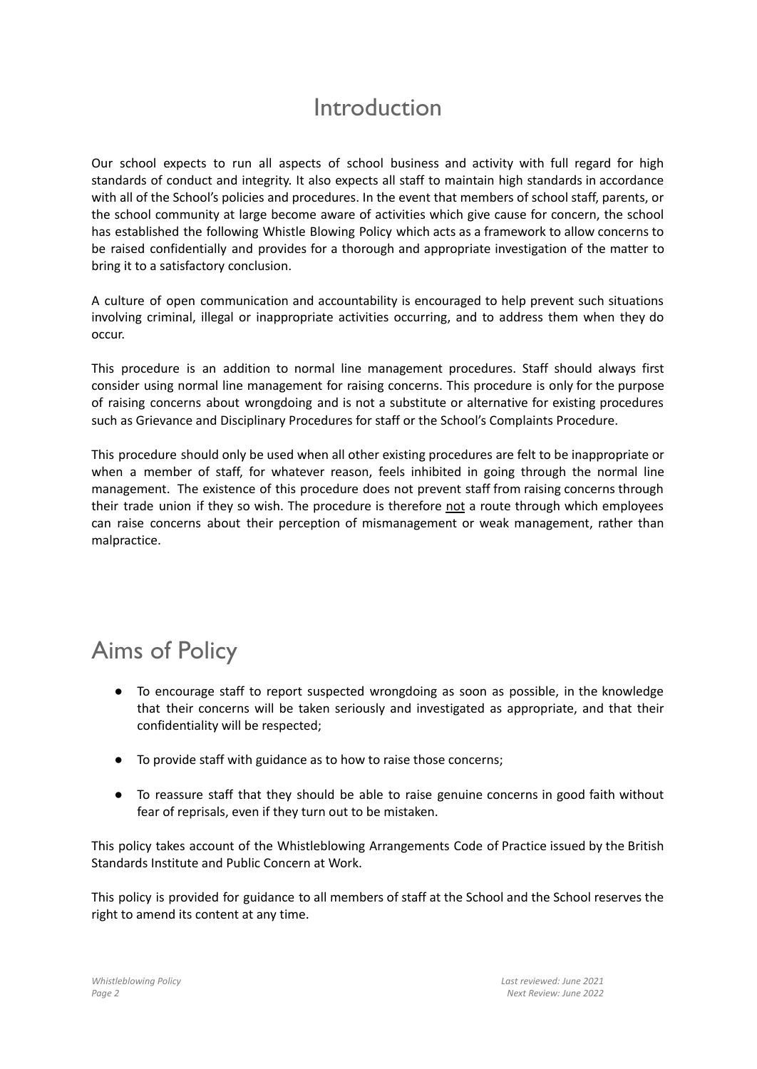## Introduction

Our school expects to run all aspects of school business and activity with full regard for high standards of conduct and integrity. It also expects all staff to maintain high standards in accordance with all of the School's policies and procedures. In the event that members of school staff, parents, or the school community at large become aware of activities which give cause for concern, the school has established the following Whistle Blowing Policy which acts as a framework to allow concerns to be raised confidentially and provides for a thorough and appropriate investigation of the matter to bring it to a satisfactory conclusion.

A culture of open communication and accountability is encouraged to help prevent such situations involving criminal, illegal or inappropriate activities occurring, and to address them when they do occur.

This procedure is an addition to normal line management procedures. Staff should always first consider using normal line management for raising concerns. This procedure is only for the purpose of raising concerns about wrongdoing and is not a substitute or alternative for existing procedures such as Grievance and Disciplinary Procedures for staff or the School's Complaints Procedure.

This procedure should only be used when all other existing procedures are felt to be inappropriate or when a member of staff, for whatever reason, feels inhibited in going through the normal line management. The existence of this procedure does not prevent staff from raising concerns through their trade union if they so wish. The procedure is therefore not a route through which employees can raise concerns about their perception of mismanagement or weak management, rather than malpractice.

# Aims of Policy

- To encourage staff to report suspected wrongdoing as soon as possible, in the knowledge that their concerns will be taken seriously and investigated as appropriate, and that their confidentiality will be respected;
- To provide staff with guidance as to how to raise those concerns;
- To reassure staff that they should be able to raise genuine concerns in good faith without fear of reprisals, even if they turn out to be mistaken.

This policy takes account of the Whistleblowing Arrangements Code of Practice issued by the British Standards Institute and Public Concern at Work.

This policy is provided for guidance to all members of staff at the School and the School reserves the right to amend its content at any time.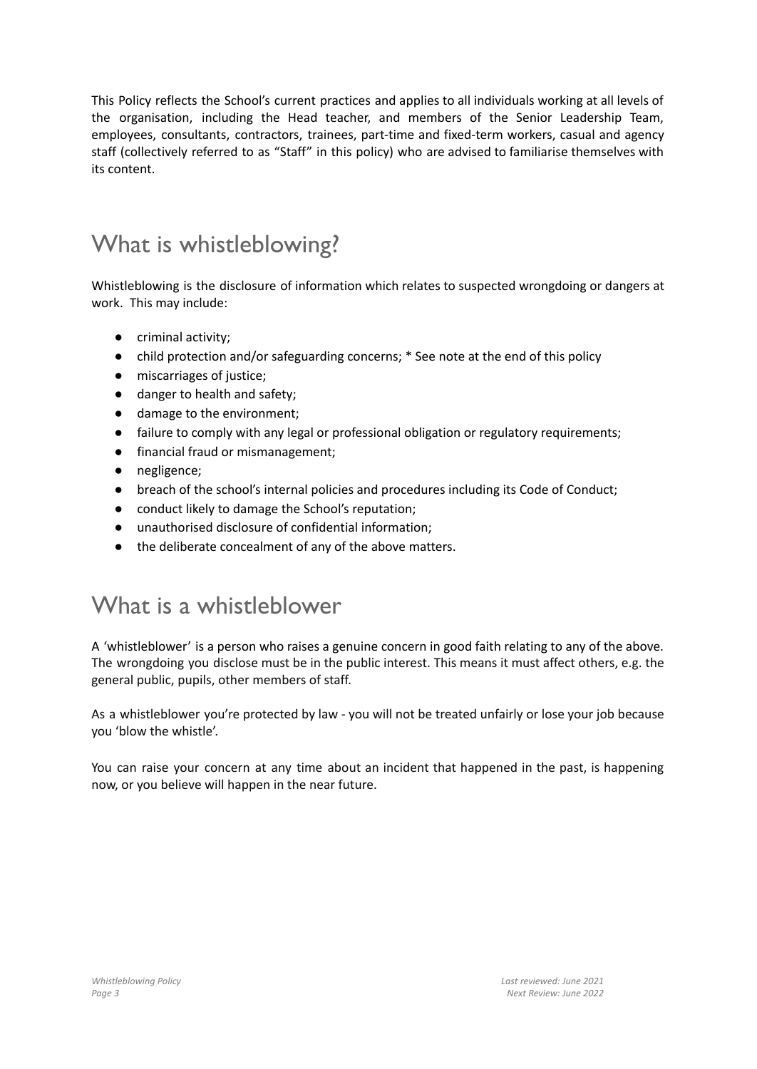This Policy reflects the School's current practices and applies to all individuals working at all levels of the organisation, including the Head teacher, and members of the Senior Leadership Team, employees, consultants, contractors, trainees, part-time and fixed-term workers, casual and agency staff (collectively referred to as "Staff" in this policy) who are advised to familiarise themselves with its content.

# What is whistleblowing?

Whistleblowing is the disclosure of information which relates to suspected wrongdoing or dangers at work. This may include:

- criminal activity;
- child protection and/or safeguarding concerns; \* See note at the end of this policy
- miscarriages of justice;
- danger to health and safety;
- damage to the environment;
- failure to comply with any legal or professional obligation or regulatory requirements;
- financial fraud or mismanagement;
- negligence;
- breach of the school's internal policies and procedures including its Code of Conduct;
- conduct likely to damage the School's reputation;
- unauthorised disclosure of confidential information;
- the deliberate concealment of any of the above matters.

## What is a whistleblower

A 'whistleblower' is a person who raises a genuine concern in good faith relating to any of the above. The wrongdoing you disclose must be in the public interest. This means it must affect others, e.g. the general public, pupils, other members of staff.

As a whistleblower you're protected by law - you will not be treated unfairly or lose your job because you 'blow the whistle'.

You can raise your concern at any time about an incident that happened in the past, is happening now, or you believe will happen in the near future.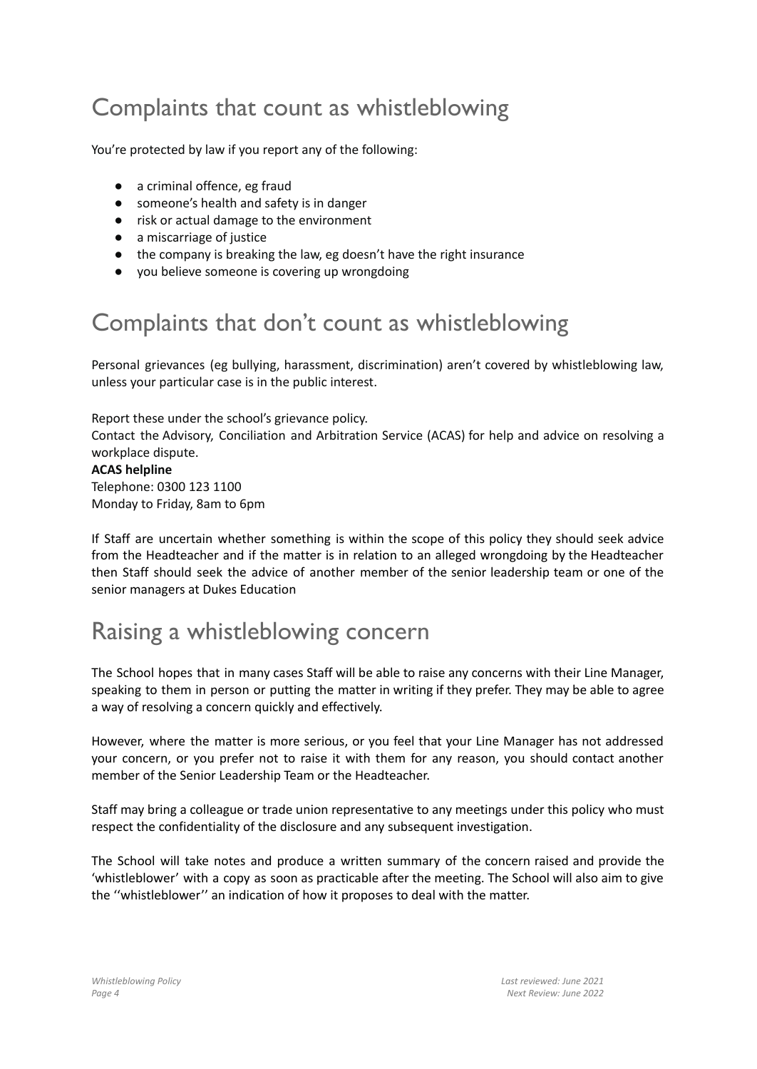# Complaints that count as whistleblowing

You're protected by law if you report any of the following:

- a criminal offence, eg fraud
- someone's health and safety is in danger
- risk or actual damage to the environment
- a miscarriage of justice
- the company is breaking the law, eg doesn't have the right insurance
- you believe someone is covering up wrongdoing

## Complaints that don't count as whistleblowing

Personal grievances (eg bullying, harassment, discrimination) aren't covered by whistleblowing law, unless your particular case is in the public interest.

Report these under the school's grievance policy.

Contact the Advisory, Conciliation and Arbitration Service (ACAS) for help and advice on resolving a workplace dispute.

**ACAS helpline** Telephone: 0300 123 1100 Monday to Friday, 8am to 6pm

If Staff are uncertain whether something is within the scope of this policy they should seek advice from the Headteacher and if the matter is in relation to an alleged wrongdoing by the Headteacher then Staff should seek the advice of another member of the senior leadership team or one of the senior managers at Dukes Education

## Raising a whistleblowing concern

The School hopes that in many cases Staff will be able to raise any concerns with their Line Manager, speaking to them in person or putting the matter in writing if they prefer. They may be able to agree a way of resolving a concern quickly and effectively.

However, where the matter is more serious, or you feel that your Line Manager has not addressed your concern, or you prefer not to raise it with them for any reason, you should contact another member of the Senior Leadership Team or the Headteacher.

Staff may bring a colleague or trade union representative to any meetings under this policy who must respect the confidentiality of the disclosure and any subsequent investigation.

The School will take notes and produce a written summary of the concern raised and provide the 'whistleblower' with a copy as soon as practicable after the meeting. The School will also aim to give the ''whistleblower'' an indication of how it proposes to deal with the matter.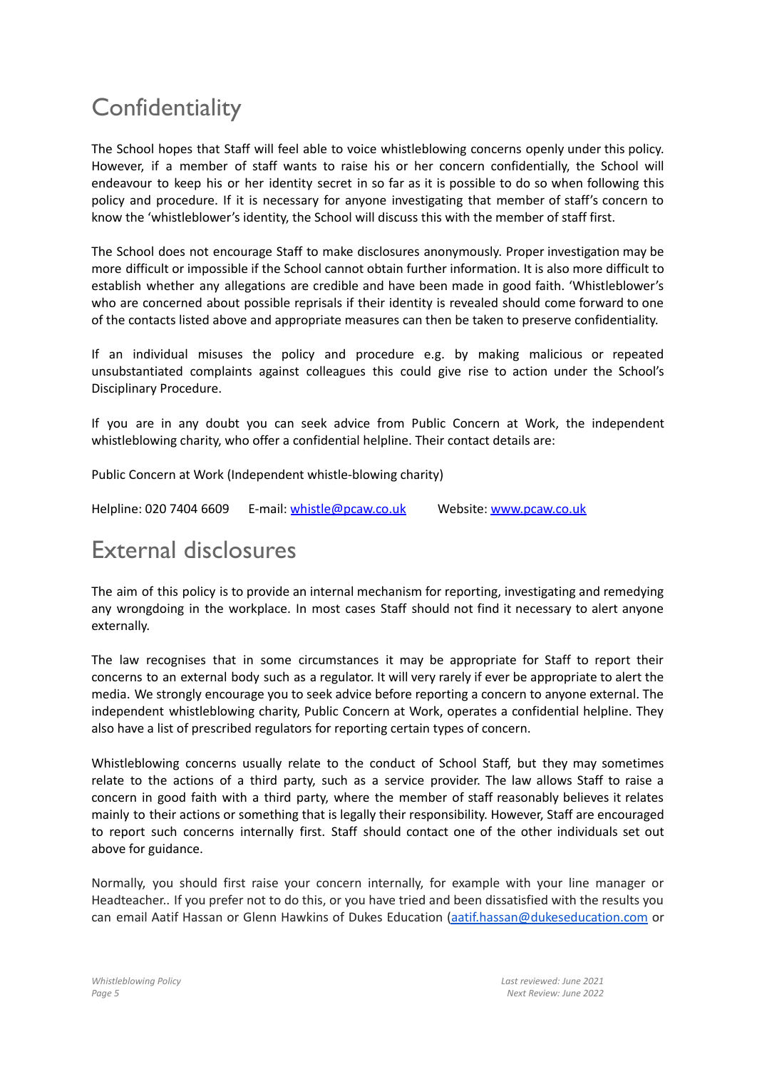# **Confidentiality**

The School hopes that Staff will feel able to voice whistleblowing concerns openly under this policy. However, if a member of staff wants to raise his or her concern confidentially, the School will endeavour to keep his or her identity secret in so far as it is possible to do so when following this policy and procedure. If it is necessary for anyone investigating that member of staff's concern to know the 'whistleblower's identity, the School will discuss this with the member of staff first.

The School does not encourage Staff to make disclosures anonymously. Proper investigation may be more difficult or impossible if the School cannot obtain further information. It is also more difficult to establish whether any allegations are credible and have been made in good faith. 'Whistleblower's who are concerned about possible reprisals if their identity is revealed should come forward to one of the contacts listed above and appropriate measures can then be taken to preserve confidentiality.

If an individual misuses the policy and procedure e.g. by making malicious or repeated unsubstantiated complaints against colleagues this could give rise to action under the School's Disciplinary Procedure.

If you are in any doubt you can seek advice from Public Concern at Work, the independent whistleblowing charity, who offer a confidential helpline. Their contact details are:

Public Concern at Work (Independent whistle-blowing charity)

Helpline: 020 7404 6609 E-mail: [whistle@pcaw.co.uk](mailto:whistle@pcaw.co.uk) Website: [www.pcaw.co.uk](http://www.pcaw.co.uk/)

## External disclosures

The aim of this policy is to provide an internal mechanism for reporting, investigating and remedying any wrongdoing in the workplace. In most cases Staff should not find it necessary to alert anyone externally.

The law recognises that in some circumstances it may be appropriate for Staff to report their concerns to an external body such as a regulator. It will very rarely if ever be appropriate to alert the media. We strongly encourage you to seek advice before reporting a concern to anyone external. The independent whistleblowing charity, Public Concern at Work, operates a confidential helpline. They also have a list of prescribed regulators for reporting certain types of concern.

Whistleblowing concerns usually relate to the conduct of School Staff, but they may sometimes relate to the actions of a third party, such as a service provider. The law allows Staff to raise a concern in good faith with a third party, where the member of staff reasonably believes it relates mainly to their actions or something that is legally their responsibility. However, Staff are encouraged to report such concerns internally first. Staff should contact one of the other individuals set out above for guidance.

Normally, you should first raise your concern internally, for example with your line manager or Headteacher.. If you prefer not to do this, or you have tried and been dissatisfied with the results you can email Aatif Hassan or Glenn Hawkins of Dukes Education [\(aatif.hassan@dukeseducation.com](mailto:aatif.hassan@dukeseducation.com) or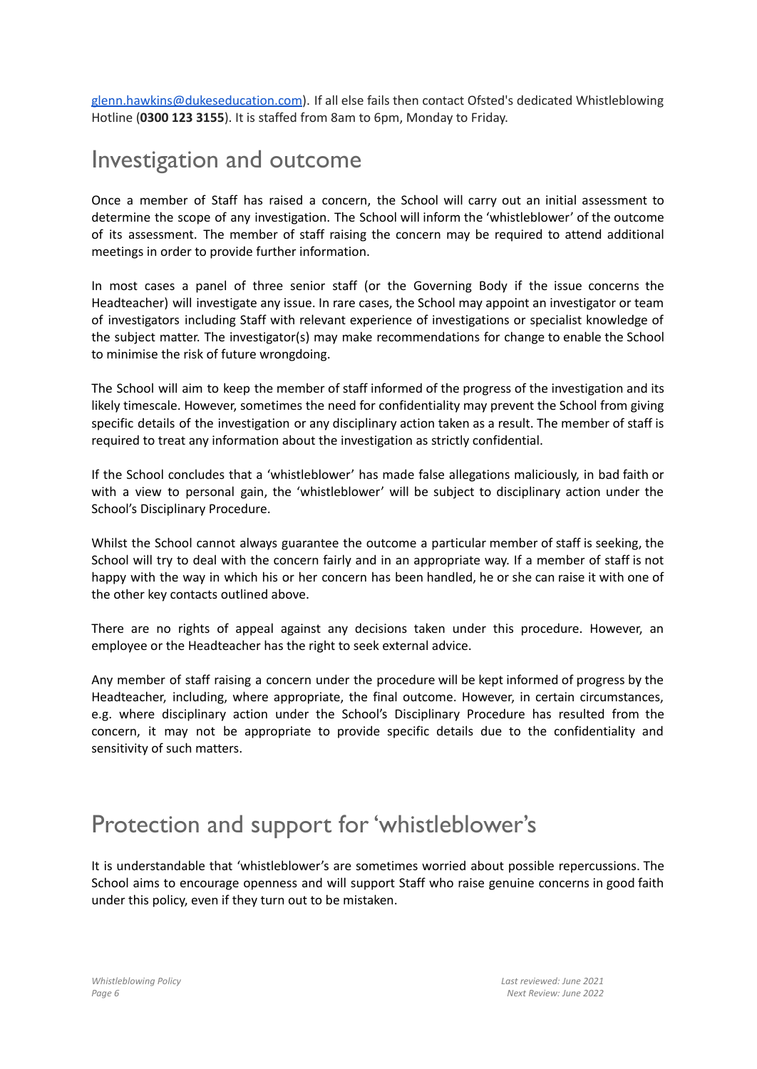[glenn.hawkins@dukeseducation.com](mailto:glenn.hawkins@dukeseducation.com)). If all else fails then contact Ofsted's dedicated Whistleblowing Hotline (**0300 123 3155**). It is staffed from 8am to 6pm, Monday to Friday.

#### Investigation and outcome

Once a member of Staff has raised a concern, the School will carry out an initial assessment to determine the scope of any investigation. The School will inform the 'whistleblower' of the outcome of its assessment. The member of staff raising the concern may be required to attend additional meetings in order to provide further information.

In most cases a panel of three senior staff (or the Governing Body if the issue concerns the Headteacher) will investigate any issue. In rare cases, the School may appoint an investigator or team of investigators including Staff with relevant experience of investigations or specialist knowledge of the subject matter. The investigator(s) may make recommendations for change to enable the School to minimise the risk of future wrongdoing.

The School will aim to keep the member of staff informed of the progress of the investigation and its likely timescale. However, sometimes the need for confidentiality may prevent the School from giving specific details of the investigation or any disciplinary action taken as a result. The member of staff is required to treat any information about the investigation as strictly confidential.

If the School concludes that a 'whistleblower' has made false allegations maliciously, in bad faith or with a view to personal gain, the 'whistleblower' will be subject to disciplinary action under the School's Disciplinary Procedure.

Whilst the School cannot always guarantee the outcome a particular member of staff is seeking, the School will try to deal with the concern fairly and in an appropriate way. If a member of staff is not happy with the way in which his or her concern has been handled, he or she can raise it with one of the other key contacts outlined above.

There are no rights of appeal against any decisions taken under this procedure. However, an employee or the Headteacher has the right to seek external advice.

Any member of staff raising a concern under the procedure will be kept informed of progress by the Headteacher, including, where appropriate, the final outcome. However, in certain circumstances, e.g. where disciplinary action under the School's Disciplinary Procedure has resulted from the concern, it may not be appropriate to provide specific details due to the confidentiality and sensitivity of such matters.

## Protection and support for'whistleblower's

It is understandable that 'whistleblower's are sometimes worried about possible repercussions. The School aims to encourage openness and will support Staff who raise genuine concerns in good faith under this policy, even if they turn out to be mistaken.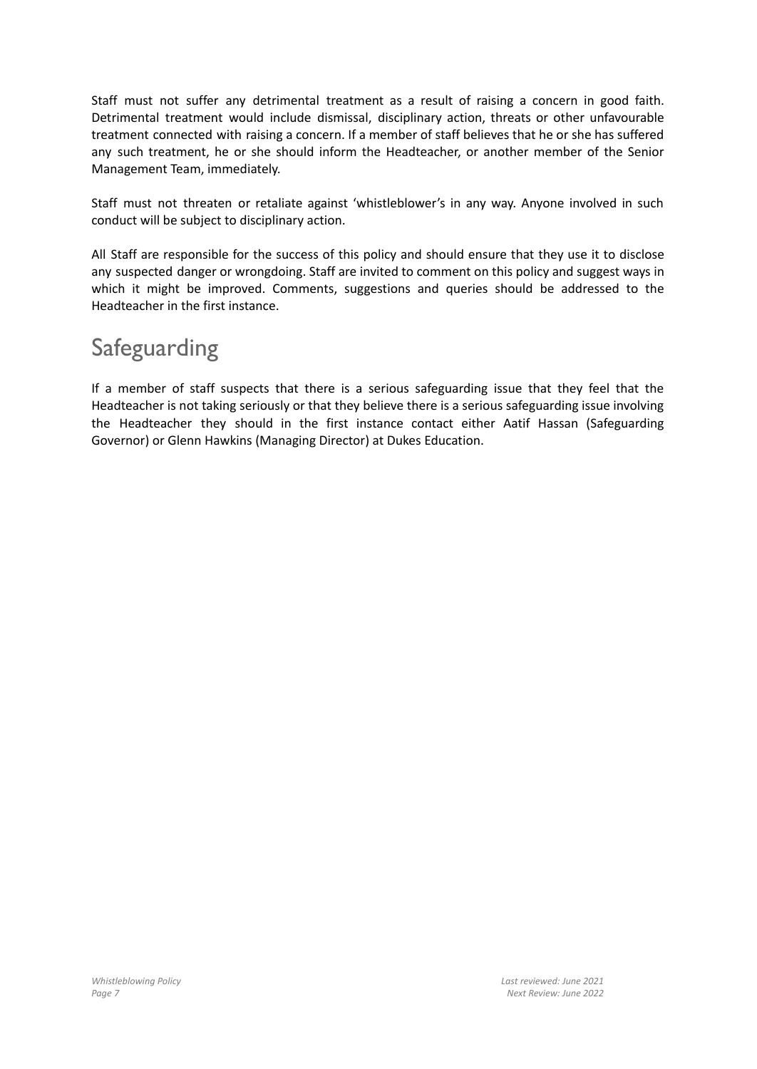Staff must not suffer any detrimental treatment as a result of raising a concern in good faith. Detrimental treatment would include dismissal, disciplinary action, threats or other unfavourable treatment connected with raising a concern. If a member of staff believes that he or she has suffered any such treatment, he or she should inform the Headteacher, or another member of the Senior Management Team, immediately.

Staff must not threaten or retaliate against 'whistleblower's in any way. Anyone involved in such conduct will be subject to disciplinary action.

All Staff are responsible for the success of this policy and should ensure that they use it to disclose any suspected danger or wrongdoing. Staff are invited to comment on this policy and suggest ways in which it might be improved. Comments, suggestions and queries should be addressed to the Headteacher in the first instance.

# Safeguarding

If a member of staff suspects that there is a serious safeguarding issue that they feel that the Headteacher is not taking seriously or that they believe there is a serious safeguarding issue involving the Headteacher they should in the first instance contact either Aatif Hassan (Safeguarding Governor) or Glenn Hawkins (Managing Director) at Dukes Education.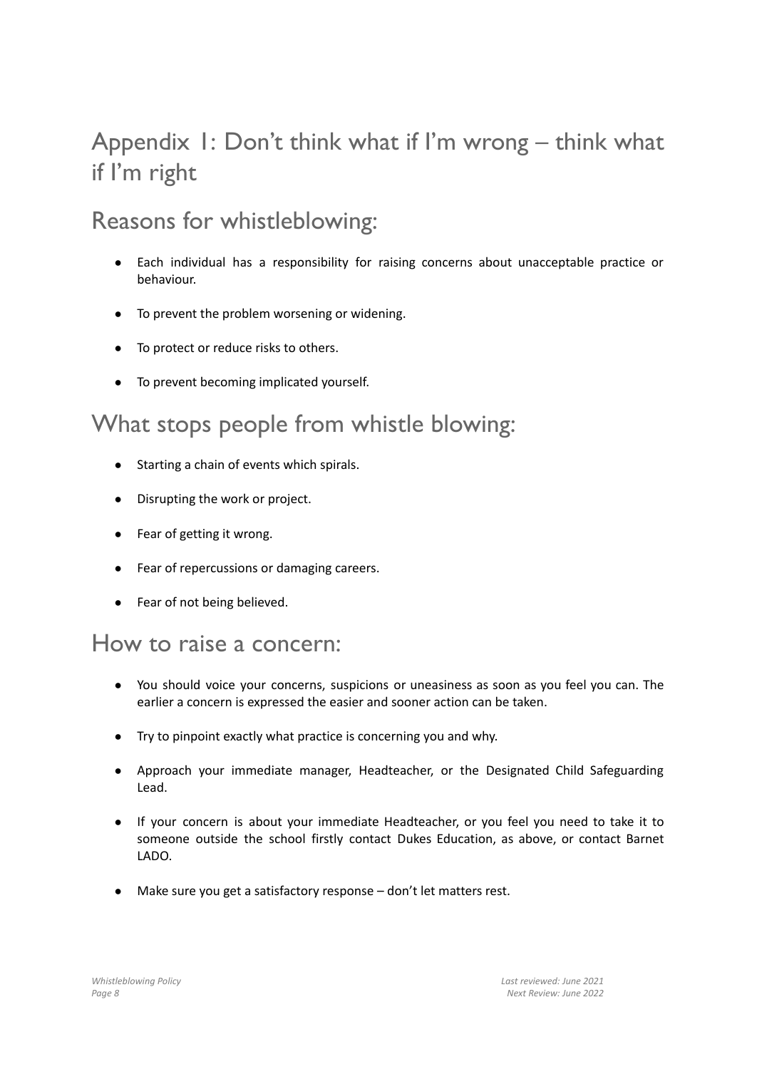# Appendix 1: Don't think what if I'm wrong – think what if I'm right

# Reasons for whistleblowing:

- Each individual has a responsibility for raising concerns about unacceptable practice or behaviour.
- To prevent the problem worsening or widening.
- To protect or reduce risks to others.
- To prevent becoming implicated yourself.

## What stops people from whistle blowing:

- Starting a chain of events which spirals.
- Disrupting the work or project.
- Fear of getting it wrong.
- Fear of repercussions or damaging careers.
- Fear of not being believed.

#### How to raise a concern:

- You should voice your concerns, suspicions or uneasiness as soon as you feel you can. The earlier a concern is expressed the easier and sooner action can be taken.
- Try to pinpoint exactly what practice is concerning you and why.
- Approach your immediate manager, Headteacher, or the Designated Child Safeguarding Lead.
- If your concern is about your immediate Headteacher, or you feel you need to take it to someone outside the school firstly contact Dukes Education, as above, or contact Barnet LADO.
- Make sure you get a satisfactory response don't let matters rest.